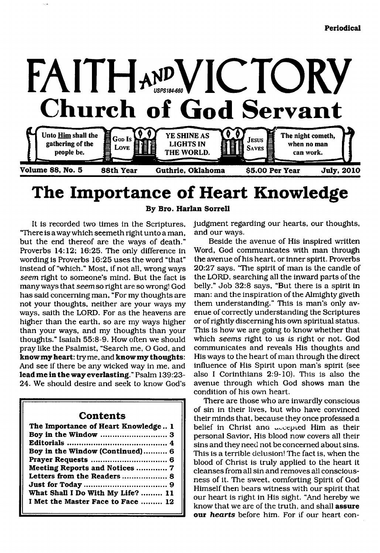

## **The Importance of Heart Knowledge**

**By Bro. Harlan Sorrell**

It is recorded two times in the Scriptures, "There is a way which seemeth right unto a man, but the end thereof are the ways of death." Proverbs 14:12; 16:25. The only difference in wording is Proverbs 16:25 uses the word "that" instead of "which." Most, if not all, wrong ways *seem* right to someone's mind. But the fact is many ways that *seem* so right are so wrong! God has said concerning man, "For my thoughts are not your thoughts, neither are your ways my ways, saith the LORD. For as the heavens are higher than the earth, so are my ways higher than your ways, and my thoughts than your thoughts." Isaiah 55:8-9. How often we should pray like the Psalmist, "Search me, O God, and **know my heart:** try me, and **know my thoughts:** And see if there be any wicked way in me, and **lead me in the way everlasting."** Psalm 139:23- 24. We should desire and seek to know God's

### **Contents**

| The Importance of Heart Knowledge 1 |
|-------------------------------------|
|                                     |
| Boy in the Window (Continued) 6     |
|                                     |
| Meeting Reports and Notices  7      |
| Letters from the Readers  8         |
|                                     |
| What Shall I Do With My Life?  11   |
| I Met the Master Face to Face  12   |

judgment regarding our hearts, our thoughts, and our ways.

Beside the avenue of His inspired written Word, God communicates with man through the avenue of his heart, or inner spirit. Proverbs 20:27 says, "The spirit of man is the candle of the LORD, searching all the inward parts of the belly." Job 32:8 says, "But there is a spirit in man: and the inspiration of the Almighty giveth them understanding." This is man's only avenue of correctly understanding the Scriptures or of rightly discerning his own spiritual status. This is how we are going to know whether that which *seems* right to us *is* right or not. God communicates and reveals His thoughts and His ways to the heart of man through the direct influence of His Spirit upon man's spirit (see also I Corinthians 2:9-10). This is also the avenue through which God shows man the condition of his own heart.

There are those who are inwardly conscious of sin in their lives, but who have convinced their minds that, because they once professed a belief in Christ and accepted Him as their personal Savior, His blood now covers all their sins and they need not be concerned about sins. This is a terrible delusion! The fact is, when the blood of Christ is truly applied to the heart it cleanses from all sin and removes all consciousness of it. The sweet, comforting Spirit of God Himself then bears witness with our spirit that our heart is right in His sight. "And hereby we know that we are of the truth, and shall **assure our** *hearts* before him. For if our heart con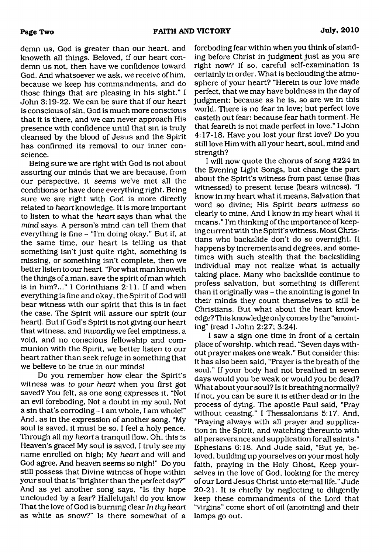demn us, God is greater than our heart, and knoweth all things. Beloved, if our heart condemn us not, then have we confidence toward God. And whatsoever we ask, we receive of him, because we keep his commandments, and do those things that are pleasing in his sight." I John 3:19-22. We can be sure that if our heart is conscious of sin, God is much more conscious that it is there, and we can never approach His presence with confidence until that sin is truly cleansed by the blood of Jesus and the Spirit has confirmed its removal to our inner conscience.

Being sure we are right with God is not about assuring our minds that we are because, from our perspective, it *seems* we've met all the conditions or have done everything right. Being sure we are right with God is more directly related to *heart* knowledge. It is more important to listen to what the *heart* says than what the *mind* says. A person's mind can tell them that everything is fine - "I'm doing okay." But if, at the same time, our heart is telling us that something isn't just quite right, something is missing, or something isn't complete, then we better listen to our heart. "For what man knoweth the things of a man. save the spirit of man which is in him?..." I Corinthians 2:11. If and when everything is fine and okay, the Spirit of God will bear witness with our spirit that this is in fact the case. The Spirit will assure our spirit (our heart). But if God's Spirit is not giving our heart that witness, and *inwardly* we feel emptiness, a void, and no conscious fellowship and communion with the Spirit, we better listen to our heart rather than seek refuge in something that we believe to be true in our minds!

Do you remember how clear the Spirit's witness was *to your heart* when you first got saved? You felt, as one song expresses it, "Not an evil foreboding, Not a doubt in my soul, Not a sin that's corroding - 1 am whole, I am whole!" And, as in the expression of another song, "My soul is saved, it must be so, I feel a holy peace, Through all my *heart* a tranquil flow. Oh, this is Heaven's grace! My soul is saved, I truly see my name enrolled on high; My *heart* and will and God agree. And heaven seems so nigh!" Do you still possess that Divine witness of hope within your soul that is "brighter than the perfect day?" And as yet another song says, "Is thy hope unclouded by a fear? Hallelujah! do you know That the love of God is burning clear *In thy heart* as white as snow?" Is there somewhat of a

foreboding fear within when you think of standing before Christ in judgment just as you are right now? If so, careful self-examination is certainly in order. What is beclouding the atmosphere of your heart? "Herein is our love made perfect, that we may have boldness in the day of judgment; because as he is, so are we in this world. There is no fear in love; but perfect love casteth out fear: because fear hath torment. He that feareth is not made perfect in love." I John 4:17-18. Have you lost your first love? Do you still love Him with all your heart, soul, mind and strength?

I will now quote the chorus of song #224 in the Evening Light Songs, but change the part about the Spirit's witness from past tense (has witnessed) to present tense (bears witness). "I know in my heart what it means, Salvation that word so divine; His Spirit *bears witness* so clearly to mine. And I know in my heart what it means." I'm thinking of the importance of keeping current with the Spirit's witness. Most Christians who backslide don't do so overnight. It happens by increments and degrees, and sometimes with such stealth that the backsliding individual may not realize what is actually taking place. Many who backslide continue to profess salvation, but something is different than it originally was - the anointing is gone! In their minds they count themselves to still be Christians. But what about the heart knowledge? This knowledge only comes by the "anointing" (read I John 2:27; 3:24).

I saw a sign one time in front of a certain place of worship, which read, "Seven days without prayer makes one weak." But consider this: it has also been said, "Prayer is the breath of the soul." If your body had not breathed in seven days would you be weak or would you be dead? What about your soul? Is it breathing normally? If not, you can be sure it is either dead or in the process of dying. The apostle Paul said, "Pray without ceasing." I Thessalonians 5:17. And, "Praying always with all prayer and supplication in the Spirit, and watching thereunto with all perseverance and supplication for all saints." Ephesians 6:18. And Jude said, "But ye, beloved, building up yourselves on your most holy faith, praying in the Holy Ghost, Keep yourselves in the love of God, looking for the mercy of our Lord Jesus Christ unto eternal life." Jude 20-21. It is chiefly by neglecting to diligently keep these commandments of the Lord that "virgins" come short of oil (anointing) and their lamps go out.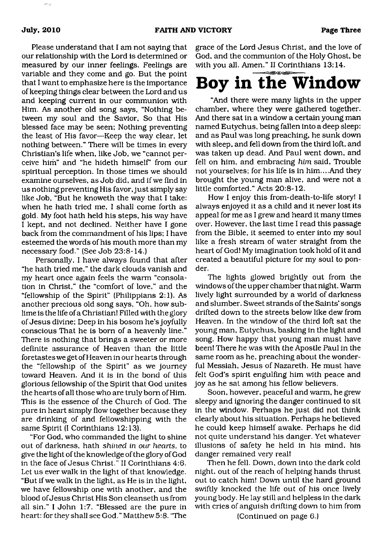ANG.

Please understand that I am not saying that our relationship with the Lord is determined or measured by our inner feelings. Feelings are variable and they come and go. But the point that I want to emphasize here is the importance of keeping things clear between the Lord and us and keeping current in our communion with Him. As another old song says, "Nothing between my soul and the Savior, So that His blessed face may be seen; Nothing preventing the least of His favor—Keep the way clear, let nothing between." There will be times in every Christian's life when, like Job, we "cannot perceive him" and "he hideth himself' from our spiritual perception. In those times we should examine ourselves, as Job did, and if we find in us nothing preventing His favor, just simply say like Job, "But he knoweth the way that I take: when he hath tried me, I shall come forth as gold. My foot hath held his steps, his way have I kept, and not declined. Neither have I gone back from the commandment of his lips; I have esteemed the words of his mouth more than my necessary food." (See Job 23:8-14.)

Personally, I have always found that after "he hath tried me," the dark clouds vanish and my heart once again feels the warm "consolation in Christ," the "comfort of love," and the "fellowship of the Spirit" (Philippians 2:1). As another precious old song says, "Oh, how sublime is the life of a Christian! Filled with the glory of Jesus divine; Deep in his bosom he's joyfully conscious That he is born of a heavenly line." There is nothing that brings a sweeter or more definite assurance of Heaven than the little foretastes we get of Heaven in our hearts through the "fellowship of the Spirit" as we journey toward Heaven. And it is in the bond of this glorious fellowship of the Spirit that God unites the hearts of all those who are truly born of Him. This is the essence of the Church of God. The pure in heart simply flow together because they are drinking of and fellowshipping with the same Spirit (I Corinthians 12:13).

"For God, who commanded the light to shine out of darkness, hath *shined in our hearts,* to give the light of the knowledge of the glory of God in the face of Jesus Christ." II Corinthians 4:6. Let us ever walk in the light of that knowledge. "But if we walk in the light, as He is in the light, we have fellowship one with another, and the blood of Jesus Christ His Son cleanseth us from all sin." I John 1:7. "Blessed are the pure in heart: for they shall see God." Matthew 5:8. "The

grace of the Lord Jesus Christ, and the love of God, and the communion of the Holy Ghost, be with you all. Amen." II Corinthians 13:14.

# <span id="page-2-0"></span>**Boy in the Window**

"And there were many lights in the upper chamber, where they were gathered together. And there sat in a window a certain young man named Eutychus, being fallen into a deep sleep: and as Paul was long preaching, he sunk down with sleep, and fell down from the third loft, and was taken up dead. And Paul went down, and fell on him, and embracing *him* said, Trouble not yourselves; for his life is in him....And they brought the young man alive, and were not a little comforted." Acts 20:8-12.

How I enjoy this from-death-to-life story! I always enjoyed it as a child and it never lost its appeal for me as I grew and heard it many times over. However, the last time I read this passage from the Bible, it seemed to enter into my soul like a fresh stream of water straight from the heart of God! My imagination took hold of it and created a beautiful picture for my soul to ponder.

The lights glowed brightly out from the windows of the upper chamber that night. Warm lively light surrounded by a world of darkness and slumber. Sweet strands of the Saints' songs drifted down to the streets below like dew from Heaven. In the window of the third loft sat the young man, Eutychus, basking in the light and song. How happy that young man must have been! There he was with the Apostle Paul in the same room as he, preaching about the wonderful Messiah, Jesus of Nazareth. He must have felt God's spirit engulfing him with peace and joy as he sat among his fellow believers.

Soon, however, peaceful and warm, he grew sleepy and ignoring the danger continued to sit in the window. Perhaps he just did not think clearly about his situation. Perhaps he believed he could keep himself awake. Perhaps he did not quite understand his danger. Yet whatever illusions of safety he held in his mind, his danger remained very real!

Then he fell. Down, down into the dark cold night, out of the reach of helping hands thrust out to catch him! Down until the hard ground swiftly knocked the life out of his once lively young body. He lay still and helpless in the dark with cries of anguish drifting down to him from

(Continued on page 6.)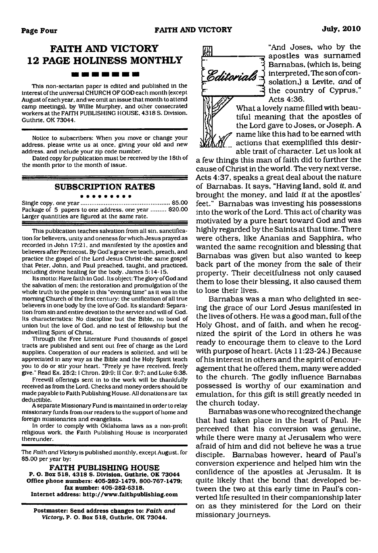### **FAITH AND VICTORY 12 PAGE HOLINESS MONTHLY** <u> 1911 - 1911 - 1911 - 1911 - 1911 - 1911 - 1911 - 1911 - 1911 - 1911 - 1911 - 1911 - 1911 - 1911 - 1911 - 1911 </u>

This non-sectarian paper is edited and published in the interest of the universal CHURCH OF GOD each month (except August of each year, and we omit an issue that month to attend camp meetings), by Willie Murphey, and other consecrated workers at the FAITH PUBLISHING HOUSE. 4318 S. Division, Guthrie, OK 73044.

Notice to subscribers: When you move or change your address, please write us at once, giving your old and new address, and include your zip code number.

Dated copy for publication must be received by the 18th of the month prior to the month of issue.

#### **SUBSCRIPTION RATES**

#### . . . . . . . . .

Single copy, one year..................................................... \$5.00 Package of 5 papers to one address, one year ......... \$20.00 Larger quantities are figured at the same rate.

This publication teaches salvation from all sin. sanctification for believers, unity and oneness for which Jesus prayed as recorded in John 17:21, and manifested by the apostles and believers after Pentecost. By God's grace we teach, preach, and practice the gospel of the Lord Jesus Christ-the same gospel that Peter, John, and Paul preached, taught, and practiced, including divine healing for the body. James 5:14-15.

Its motto: Have faith in God. Its object: The glory of God and the salvation of men: the restoration and promulgation of the whole truth to the people in this "evening time" as it was in the morning Church of the first century: the unification of all true believers in one body by the love of God. Its standard: Separation from sin and entire devotion to the service and will of God. Its characteristics: No discipline but the Bible, no bond of union but the love of God, and no test of fellowship but the indwelling Spirit of Christ.

Through the Free Literature Fund thousands of gospel tracts are published and sent out free of charge as the Lord supplies. Cooperation of our readers is solicited, and will be appreciated in any way as the Bible and the Holy Spirit teach you to do or stir your heart. "Freely ye have received, freely give." Read Ex. 25:2:1 Chron. 29:9: II Cor. 9:7: and Luke 6:38.

Freewill offerings sent in to the work will be thankfully received as from the Lord. Checks and money orders should be made payable to Faith Publishing House. All donations are tax deductible.

A separate Missionary Fund is maintained in order to relay missionary funds from our readers to the support of home and foreign missionaries and evangelists.

In order to comply with Oklahoma laws as a non-profit religious work, the Faith Publishing House is incorporated thereunder.

The *Faith and Victory* is published monthly, except August, for \$5.00 per year by:

**FAITH PUBLISHING HOUSE P. O. Box 518. 4318 S. Division. Guthrie, OK 73044 Office phone numbers: 405-282-1479, 800-767-1479: fax number: 405-282-6318. Internet address: <http://www.faithpublishing.com>**

**Postmaster: Send address changes to:** *Faith and Victory,* **P. O. Box 518, Guthrie, OK 73044.**



"And Joses, who by the apostles was surnamed Barnabas, (which is, being interpreted, The son of consolation,) a Levite, *and* of the country of Cyprus," Acts 4:36.

What a lovely name filled with beau*y f* tiful meaning that the apostles of the Lord gave to Joses, or Joseph. A name like this had to be earned with actions that exemplified this desirable trait of character. Let us look at

a few things this man of faith did to further the cause of Christ in the world. The very next verse, Acts 4:37, speaks a great deal about the nature of Barnabas. It says, "Having land, sold *it,* and brought the money, and laid *it* at the apostles' feet." Barnabas was investing his possessions into the work of the Lord. This act of charity was motivated by a pure heart toward God and was highly regarded by the Saints at that time. There were others, like Ananias and Sapphira, who wanted the same recognition and blessing that Barnabas was given but also wanted to keep back part of the money from the sale of their property. Their deceitfulness not only caused them to lose their blessing, it also caused them to lose their lives.

Barnabas was a man who delighted in seeing the grace of our Lord Jesus manifested in the lives of others. He was a good man, full of the Holy Ghost, and of faith, and when he recognized the spirit of the Lord in others he was ready to encourage them to cleave to the Lord with purpose of heart. (Acts 11:23-24.) Because of his interest in others and the spirit of encouragement that he offered them, many were added to the church. The godly influence Barnabas possessed is worthy of our examination and emulation, for this gift is still greatly needed in the church today.

Barnabas was one who recognized the change that had taken place in the heart of Paul. He perceived that his conversion was genuine, while there were many at Jerusalem who were afraid of him and did not believe he was a true disciple. Barnabas however, heard of Paul's conversion experience and helped him win the confidence of the apostles at Jerusalm. It is quite likely that the bond that developed between the two at this early time in Paul's converted life resulted in their companionship later on as they ministered for the Lord on their missionary journeys.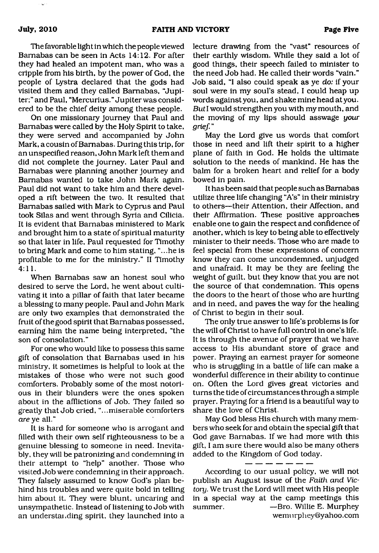The favorable light in which the people viewed Barnabas can be seen in Acts 14:12. For after they had healed an impotent man, who was a cripple from his birth, by the power of God, the people of Lystra declared that the gods had visited them and they called Barnabas, "Jupiter;" and Paul, "Mercurius." Jupiter was considered to be the chief deity among these people.

On one missionary journey that Paul and Barnabas were called by the Holy Spirit to take, they were served and accompanied by John Mark, a cousin of Barnabas. During this trip, for an unspecified reason, John Mark left them and did not complete the journey. Later Paul and Barnabas were planning another journey and Barnabas wanted to take John Mark again. Paul did not want to take him and there developed a rift between the two. It resulted that Barnabas sailed with Mark to Cyprus and Paul took Silas and went through Syria and Cilicia. It is evident that Barnabas ministered to Mark and brought him to a state of spiritual maturity so that later in life, Paul requested for Timothy to bring Mark and come to him stating, "...he is profitable to me for the ministry." II Timothy 4:11.

When Barnabas saw an honest soul who desired to serve the Lord, he went about cultivating it into a pillar of faith that later became a blessing to many people. Paul and John Mark are only two examples that demonstrated the fruit of the good spirit that Barnabas possessed, earning him the name being interpreted, "the son of consolation."

For one who would like to possess this same gift of consolation that Barnabas used in his ministry, it sometimes is helpful to look at the mistakes of those who were not such good comforters. Probably some of the most notorious in their blunders were the ones spoken about in the afflictions of Job. They failed so greatly that Job cried, "...miserable comforters *are* ye all."

It is hard for someone who is arrogant and filled with their own self righteousness to be a genuine blessing to someone in need. Inevitably, they will be patronizing and condemning in their attempt to "help" another. Those who visited Job were condemning in their approach. They falsely assumed to know God's plan behind his troubles and were quite bold in telling him about it. They were blunt, uncaring and unsympathetic. Instead of listening to Job with an understanding spirit, they launched into a

lecture drawing from the "vast" resources of their earthly wisdom. While they said a lot of good things, their speech failed to minister to the need Job had. He called their words "vain." Job said, "I also could speak as ye *do:* if your soul were in my soul's stead, I could heap up words against you, and shake mine head at you. But I would strengthen you with my mouth, and the moving of my lips should asswage *your grief*."

May the Lord give us words that comfort those in need and lift their spirit to a higher plane of faith in God. He holds the ultimate solution to the needs of mankind. He has the balm for a broken heart and relief for a body bowed in pain.

It has been said that people such as Barnabas utilize three life changing "A's" in their ministry to others—their Attention, their Affection, and their Affirmation. These positive approaches enable one to gain the respect and confidence of another, which is key to being able to effectively minister to their needs. Those who are made to feel special from these expressions of concern know they can come uncondemned, unjudged and unafraid. It may be they are feeling the weight of guilt, but they know that you are not the source of that condemnation. This opens the doors to the heart of those who are hurting and in need, and paves the way for the healing of Christ to begin in their soul.

The only true answer to life's problems is for the will of Christ to have full control in one's life. It is through the avenue of prayer that we have access to His abundant store of grace and power. Praying an earnest prayer for someone who is struggling in a battle of life can make a wonderful difference in their ability to continue on. Often the Lord gives great victories and turns the tide of circumstances through a simple prayer. Praying for a friend is a beautiful way to share the love of Christ.

May God bless His church with many members who seek for and obtain the special gift that God gave Barnabas. If we had more with this gift, I am sure there would also be many others added to the Kingdom of God today.

According to our usual policy, we will not publish an August issue of the *Faith and Victory.* We trust the Lord will meet with His people in a special way at the camp meetings this summer. ——Bro. Willie E. Murphey [wemurphey@yahoo.com](mailto:wemurphey@yahoo.com)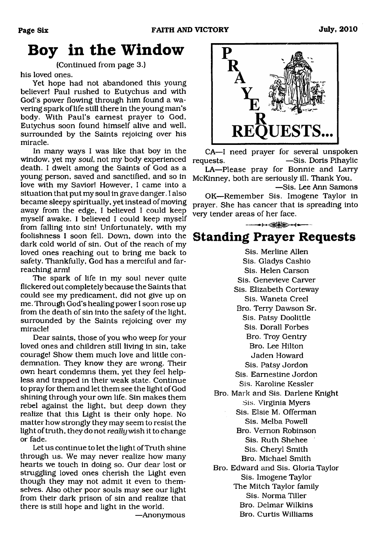## **Boy in the Window**

(Continued from page 3.)

his loved ones.

Yet hope had not abandoned this young believer! Paul rushed to Eutychus and with God's power flowing through him found a wavering spark of life still there in the young man's body. With Paul's earnest prayer to God, Eutychus soon found himself alive and well, surrounded by the Saints rejoicing over his miracle.

In many ways I was like that boy in the window, yet my *soul*, not my body experienced death. I dwelt among the Saints of God as a young person, saved and sanctified, and so in love with my Savior! However, I came into a situation that put my soul in grave danger. I also became sleepy spiritually, yet instead of moving away from the edge, I believed I could keep myself awake. I believed I could keep myself from falling into sin! Unfortunately, with my foolishness I soon fell. Down, down into the dark cold world of sin. Out of the reach of my loved ones reaching out to bring me back to safety. Thankfully, God has a merciful and farreaching arm!

The spark of life in my soul never quite flickered out completely because the Saints that could see my predicament, did not give up on me. Through God's healing power I soon rose up from the death of sin into the safety of the light, surrounded by the Saints rejoicing over my miracle!

Dear saints, those of you who weep for your loved ones and children still living in sin, take courage! Show them much love and little condemnation. They know they are wrong. Their own heart condemns them, yet they feel helpless and trapped in their weak state. Continue to pray for them and let them see the light of God shining through your own life. Sin makes them rebel against the light, but deep down they realize that this Light is their only hope. No matter how strongly they may seem to resist the light of truth, they do not *really* wish it to change or fade.

Let us continue to let the light of Truth shine through us. We may never realize how many hearts we touch in doing so. Our dear lost or struggling loved ones cherish the Light even though they may not admit it even to themselves. Also other poor souls may see our light from their dark prison of sin and realize that there is still hope and light in the world.

—Anonymous



CA—I need prayer for several unspoken requests. — Sis. Doris Pihaylic

LA—Please pray for Bonnie and Larry McKinney, both are seriously ill. Thank You, —Sis. Lee Ann Samons

OK—Remember Sis. Imogene Taylor in prayer. She has cancer that is spreading into very tender areas of her face.

### **Standing Prayer Requests**

 $- + -$ 

Sis. Merline Allen Sis. Gladys Cashio Sis. Helen Carson Sis. Genevieve Carver Sis. Elizabeth Corteway Sis. Waneta Creel Bro. Terry Dawson Sr. Sis. Patsy Doolittle Sis. Dorall Forbes Bro. Troy Gentry Bro. Lee Hilton Jaden Howard Sis. Patsy Jordon Sis. Earnestine Jordon Sis. Karoline Kessler Bro. Mark and Sis. Darlene Knight Sis. Virginia Myers Sis. Elsie M. Offerman Sis. Melba Powell Bro. Vernon Robinson Sis. Ruth Shehee Sis. Cheryl Smith Bro. Michael Smith Bro. Edward and Sis. Gloria Taylor Sis. Imogene Taylor The Mitch Taylor family Sis. Norma Tiller Bro. Delmar Wilkins Bro. Curtis Williams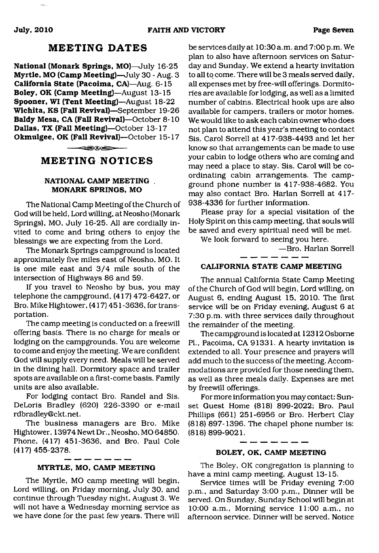#### **MEETING DATES**

**National (Monark Springs, MO)**—July 16-25 **Myrtle, MO (Camp Meeting)**—July 30 - Aug. 3 **California State (Pacoima, CA)**—Aug. 6-15 **Boley, OK (Camp Meeting)**—August 13-15 **Spooner, WI (Tent Meeting)**—August 18-22 **Wichita, KS (Fall Revival)**—September 19-26 **Baldy Mesa, CA (Fall Revival)**—October 8-10 **Dallas, TX (Fall Meeting)**—October 13-17 **Okmulgee, OK (Fall Revival)**—October 15-17

-908

#### **MEETING NOTICES**

#### **NATIONAL CAMP MEETING MONARK SPRINGS, MO**

The National Camp Meeting of the Church of God will be held. Lord willing, at Neosho (Monark Springs), MO, July 16-25. All are cordially invited to come and bring others to enjoy the blessings we are expecting from the Lord.

The Monark Springs campground is located approximately five miles east of Neosho, MO. It is one mile east and 3/4 mile south of the intersection of Highways 86 and 59.

If you travel to Neosho by bus, you may telephone the campground, (417) 472-6427, or Bro. Mike Hightower, (417) 451-3636, for transportation.

The camp meeting is conducted on a freewill offering basis. There is no charge for meals or lodging on the campgrounds. You are welcome to come and enjoy the meeting. We are confident God will supply every need. Meals will be served in the dining hall. Dormitory space and trailer spots are available on a first-come basis. Family units are also available.

For lodging contact Bro. Randel and Sis. DeLoris Bradley (620) 226-3390 or e-mail [rdbradley@ckt.net](mailto:rdbradley@ckt.net).

The business managers are Bro. Mike Hightower, 13974 Newt Dr., Neosho, MO 64850. Phone. (417) 451-3636, and Bro. Paul Cole (417) 455-2378.

The Myrtle, MO camp meeting will begin, Service times will be Friday evening 7:00<br>Lord willing, on Friday morning, July 30, and  $\frac{1}{D}$  m and Saturday 3:00 n m. Dinner will be Lord willing, on Friday morning, July 30, and p.m., and Saturday 3:00 p.m., Dinner will be<br>continue through Tuesday night, August 3. We served, On Sunday, Sunday School will begin at continue through Tuesday night, August 3. We served. On Sunday, Sunday School will begin at we have done for the past few years. There will afternoon service. Dinner will be served. Notice

be services daily at 10:30 a.m. and 7:00 p.m. We plan to also have afternoon services on Saturday and Sunday. We extend a hearty invitation to all to come. There will be 3 meals served daily, all expenses met by free-will offerings. Dormitories are available for lodging, as well as a limited number of cabins. Electrical hook ups are also available for campers, trailers or motor homes. We would like to ask each cabin owner who does not plan to attend this year's meeting to contact Sis. Carol Sorrell at 417-938-4493 and let her know so that arrangements can be made to use your cabin to lodge others who are coming and may need a place to stay. Sis. Carol will be coordinating cabin arrangements. The campground phone number is 417-938-4682. You may also contact Bro. Harlan Sorrell at 417- 938-4336 for further information.

Please pray for a special visitation of the Holy Spirit on this camp meeting, that souls will be saved and every spiritual need will be met.

We look forward to seeing you here.

—Bro. Harlan Sorrell

#### **CALIFORNIA STATE CAMP MEETING**

The annual California State Camp Meeting of the Church of God will begin, Lord willing, on August 6, ending August 15, 2010. The first service will be on Friday evening, August 6 at 7:30 p.m. with three services daily throughout the remainder of the meeting.

The campground is located at 12312 Osborne PL, Pacoima, CA 91331. A hearty invitation is extended to all. Your presence and prayers will add much to the success of the meeting. Accommodations are provided for those needing them, as well as three meals daily. Expenses are met by freewill offerings.

For more information you may contact: Sunset Guest Home (818) 899-2022; Bro. Paul Phillips (661) 251-6956 or Bro. Herbert Clay (818) 897-1396. The chapel phone number is: (818) 899-9021.

#### **BOLEY, OK, CAMP MEETING**

 $\overline{\phantom{a}}$   $\overline{\phantom{a}}$   $\overline{\phantom{a}}$   $\overline{\phantom{a}}$   $\overline{\phantom{a}}$   $\overline{\phantom{a}}$   $\overline{\phantom{a}}$   $\overline{\phantom{a}}$   $\overline{\phantom{a}}$   $\overline{\phantom{a}}$   $\overline{\phantom{a}}$   $\overline{\phantom{a}}$   $\overline{\phantom{a}}$   $\overline{\phantom{a}}$   $\overline{\phantom{a}}$   $\overline{\phantom{a}}$   $\overline{\phantom{a}}$   $\overline{\phantom{a}}$   $\overline{\$ 

**MYRTLE, MO, CAMP MEETING** The Boley, OK congregation is planning to have a mini camp meeting, August 13-15.

10:00 a.m., Morning service  $11:00$  a.m., no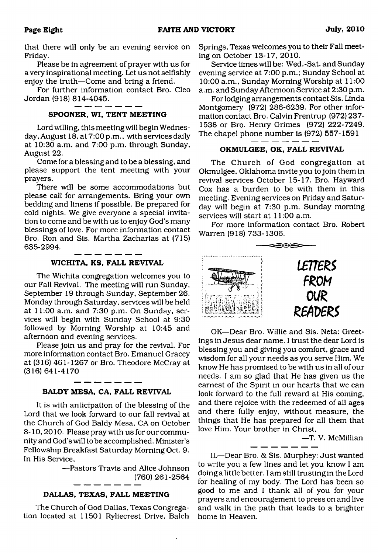that there will only be an evening service on Friday.

Please be in agreement of prayer with us for a very inspirational meeting. Let us not selfishly enjoy the truth—Come and bring a friend.

For further information contact Bro. Cleo Jordan (918) 814-4045.

#### **SPOONER, WI, TENT MEETING**

Lord willing, this meeting will begin Wednesday, August 18, at 7:00 p.m., with services daily at 10:30 a.m. and 7:00 p.m. through Sunday, August 22.

Come for a blessing and to be a blessing, and please support the tent meeting with your prayers.

There will be some accommodations but please call for arrangements. Bring your own bedding and linens if possible. Be prepared for cold nights. We give everyone a special invitation to come and be with us to enjoy God's many blessings of love. For more information contact Bro. Ron and Sis. Martha Zacharias at (715) 635-2994. - - - - -

#### **WICHITA, KS, FALL REVIVAL**

The Wichita congregation welcomes you to our Fall Revival. The meeting will run Sunday, September 19 through Sunday, September 26. Monday through Saturday, services will be held at 11:00 a.m. and 7:30 p.m. On Sunday, services will begin with Sunday School at 9:30 followed by Morning Worship at 10:45 and afternoon and evening services.

Please join us and pray for the revival. For more information contact Bro. Emanuel Gracey at (316) 461-1267 or Bro. Theodore McCray at (316) 641-4170

#### **BALDY MESA, CA, FALL REVIVAL**

\_\_\_\_\_\_

It is with anticipation of the blessing of the Lord that we look forward to our fall revival at the Church of God Baldy Mesa, CA on October 8-10,2010. Please pray with us for our community and God's will to be accomplished. Minister's Fellowship Breakfast Saturday Morning Oct. 9. In His Service,

> —Pastors Travis and Alice Johnson (760) 261-2564

#### **DALLAS, TEXAS, FALL MEETING**

The Church of God Dallas, Texas Congregation located at 11501 Ryliecrest Drive, Balch Springs, Texas welcomes you to their Fall meeting on October 13-17, 2010.

Service times will be: Wed.-Sat. and Sunday evening service at 7:00 p.m.; Sunday School at 10:00 a.m., Sunday Morning Worship at 11:00 a.m. and Sunday Afternoon Service at 2:30 p.m.

For lodging arrangements contact Sis. Linda Montgomery (972) 286-6239. For other information contact Bro. Calvin Frentrup (972) 237- 1538 or Bro. Henry Grimes (972) 222-7249. The chapel phone number is (972) 557-1591

#### **OKMULGEE, OK, FALL REVIVAL**

The Church of God congregation at Okmulgee, Oklahoma invite you to join them in revival services October 15-17. Bro. Hayward Cox has a burden to be with them in this meeting. Evening services on Friday and Saturday will begin at 7:30 p.m. Sunday morning services will start at 11:00 a.m.

For more information contact Bro. Robert Warren (918) 733-1306.



OK—Dear Bro. Willie and Sis. Neta: Greetings in Jesus dear name. I trust the dear Lord is blessing you and giving you comfort, grace and wisdom for all your needs as you serve Him. We know He has promised to be with us in all of our needs. I am so glad that He has given us the earnest of the Spirit in our hearts that we can look forward to the full reward at His coming, and there rejoice with the redeemed of all ages and there fully enjoy, without measure, the things that He has prepared for all them that love Him. Your brother in Christ,

—T. V. McMillian

IL—Dear Bro. & Sis. Murphey: Just wanted to write you a few lines and let you know I am doing a little better. I am still trusting in the Lord for healing of my body. The Lord has been so good to me and I thank all of you for your prayers and encouragement to press on and live and walk in the path that leads to a brighter home in Heaven.

 $-1$  and  $-1$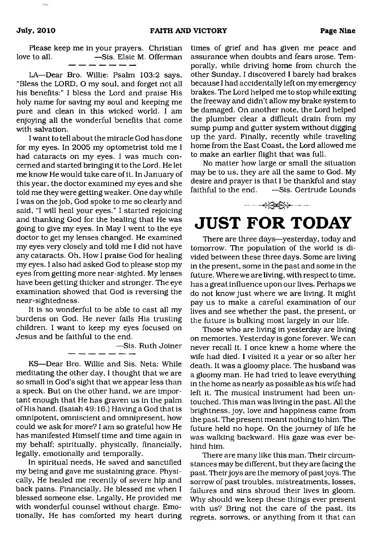Please keep me in your prayers. Christian **-Sis. Elsie M. Offerman** 

LA—Dear Bro. Willie: Psalm 103:2 says, "Bless the LORD, O my soul, and forget not all his benefits:" I bless the Lord and praise His holy name for saving my soul and keeping me pure and clean in this wicked world. I am enjoying all the wonderful benefits that come with salvation.

I want to tell about the miracle God has done for my eyes. In 2005 my optometrist told me I had cataracts on my eyes. I was much concerned and started bringing it to the Lord. He let me know He would take care of it. In January of this year, the doctor examined my eyes and she told me they were getting weaker. One day while I was on the job, God spoke to me so clearly and said, "I will heal your eyes." I started rejoicing and thanking God for the healing that He was going to give my eyes. In May I went to the eye doctor to get my lenses changed. He examined my eyes very closely and told me I did not have any cataracts. Oh, How I praise God for healing my eyes. I also had asked God to please stop my eyes from getting more near-sighted. My lenses have been getting thicker and stronger. The eye examination showed that God is reversing the near-sightedness.

It is so wonderful to be able to cast all my burdens on God. He never fails His trusting children. I want to keep my eyes focused on Jesus and be faithful to the end.

—Sis. Ruth Joiner

KS—Dear Bro. Willie and Sis. Neta: While meditating the other day, I thought that we are so small in God's sight that we appear less than a speck. But on the other hand, we are important enough that He has graven us in the palm of His hand. (Isaiah 49:16.) Having a God that is omnipotent, omniscient and omnipresent, how could we ask for more? I am so grateful how He has manifested Himself time and time again in my behalf: spiritually, physically, financially, legally, emotionally and temporally.

In spiritual needs. He saved and sanctified my being and gave me sustaining grace. Physically, He healed me recently of severe hip and back pains. Financially, He blessed me when I blessed someone else. Legally, He provided me with wonderful counsel without charge. Emotionally, He has comforted my heart during

times of grief and has given me peace and assurance when doubts and fears arose. Temporally, while driving home from church the other Sunday, I discovered I barely had brakes because I had accidentally left on my emergency brakes. The Lord helped me to stop while exiting the freeway and didn't allow my brake system to be damaged. On another note, the Lord helped the plumber clear a difficult drain from my sump pump and gutter system without digging up the yard. Finally, recently while traveling home from the East Coast, the Lord allowed me to make an earlier flight that was full.

No matter how large or small the situation may be to us, they are all the same to God. My desire and prayer is that I be thankful and stay faithful to the end. —Sis. Gertrude Lounds

# <span id="page-8-0"></span>**JUST FOR TODAY**

 $\frac{1}{2} \left( \frac{1}{2} \sum_{i=1}^{n} \sum_{j=1}^{n} \sum_{j=1}^{n} \sum_{j=1}^{n} \sum_{j=1}^{n} \sum_{j=1}^{n} \sum_{j=1}^{n} \sum_{j=1}^{n} \sum_{j=1}^{n} \sum_{j=1}^{n} \sum_{j=1}^{n} \sum_{j=1}^{n} \sum_{j=1}^{n} \sum_{j=1}^{n} \sum_{j=1}^{n} \sum_{j=1}^{n} \sum_{j=1}^{n} \sum_{j=1}^{n} \sum_{j=1}^{n} \sum_{j=1}^{n} \sum_{$ 

There are three days—yesterday, today and tomorrow. The population of the world is divided between these three days. Some are living in the present, some in the past and some in the future. Where we are living, with respect to time, has a great influence upon our lives. Perhaps we do not know just where we are living. It might pay us to make a careful examination of our lives and see whether the past, the present, or the future is bulking most largely in our life.

Those who are living in yesterday are living on memories. Yesterday is gone forever. We can never recall it. I once knew a home where the wife had died. I visited it a year or so after her death. It was a gloomy place. The husband was a gloomy man. He had tried to leave everything in the home as nearly as possible as his wife had left it. The musical instrument had been untouched. This man was living in the past. All the brightness, joy, love and happiness came from the past. The present meant nothing to him. The future held no hope. On the journey of life he was walking backward. His gaze was ever behind him.

There are many like this man. Their circumstances may be different, but they are facing the past. Their joys are the memory of past joys. The sorrow of past troubles, mistreatments, losses, failures and sins shroud their lives in gloom. Why should we keep these things ever present with us? Bring not the care of the past, its regrets, sorrows, or anything from it that can

 $22 - 2$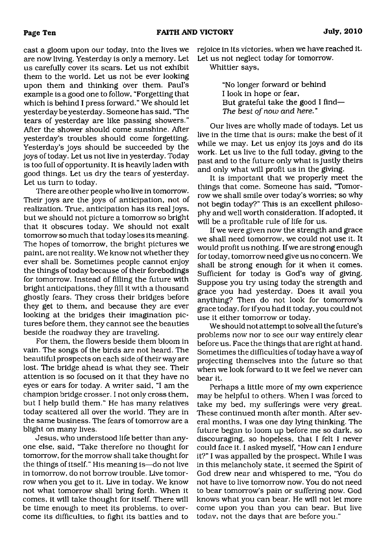cast a gloom upon our today, into the lives we are now living. Yesterday is only a memory. Let us carefully cover its scars. Let us not exhibit them to the world. Let us not be ever looking upon them and thinking over them. Paul's example is a good one to follow, "Forgetting that which is behind I press forward." We should let yesterday be yesterday. Someone has said, 'The tears of yesterday are like passing showers." After the shower should come sunshine. After yesterday's troubles should come forgetting. Yesterday's joys should be succeeded by the joys of today. Let us not live in yesterday. Today is too full of opportunity. It is heavily laden with good things. Let us diy the tears of yesterday. Let us turn to today.

There are other people who live in tomorrow. Their joys are the joys of anticipation, not of realization. True, anticipation has its real joys, but we should not picture a tomorrow so bright that it obscures today. We should not exalt tomorrow so much that today loses its meaning. The hopes of tomorrow, the bright pictures we paint, are not reality. We know not whether they ever shall be. Sometimes people cannot enjoy the things of today because of their forebodings for tomorrow. Instead of filling the future with bright anticipations, they fill it with a thousand ghostly fears. They cross their bridges before they get to them, and because they are ever looking at the bridges their imagination pictures before them, they cannot see the beauties beside the roadway they are traveling.

For them, the flowers beside them bloom in vain. The songs of the birds are not heard. The beautiful prospects on each side of their way are lost. The bridge ahead is what they see. Their attention is so focused on it that they have no eyes or ears for today. A writer said, "I am the champion bridge crosser. I not only cross them, but I help build them." He has many relatives today scattered all over the world. They are in the same business. The fears of tomorrow are a blight on many lives.

Jesus, who understood life better than anyone else, said, "Take therefore no thought for tomorrow, for the morrow shall take thought for the things of itself." His meaning is—do not live in tomorrow, do not borrow trouble. Live tomorrow when you get to it. Live in today. We know not what tomorrow shall bring forth. When it comes, it will take thought for itself. There will be time enough to meet its problems, to overcome its difficulties, to fight its battles and to

rejoice in its victories, when we have reached it. Let us not neglect today for tomorrow.

Whittier says,

"No longer forward or behind I look in hope or fear, But grateful take the good I find— *The best of now and here.* ''

Our lives are wholly made of todays. Let us live in the time that is ours; make the best of it while we may. Let us enjoy its joys and do its work. Let us live to the full today, giving to the past and to the future only what is justly theirs and only what will profit us in the giving.

It is important that we properly meet the things that come. Someone has said, 'Tomorrow we shall smile over today's worries; so why not begin today?" This is an excellent philosophy and well worth consideration. If adopted, it will be a profitable rule of life for us.

If we were given now the strength and grace we shall need tomorrow, we could not use it. It would profit us nothing. If we are strong enough for today, tomorrow need give us no concern. We shall be strong enough for it when it comes. Sufficient for today is God's way of giving. Suppose you try using today the strength and grace you had yesterday. Does it avail you anything? Then do not look for tomorrow's grace today, for ifyou had it today, you could not use it either tomorrow or today.

We should not attempt to solve all the future's problems now nor to see our way entirely clear before us. Face the things that are right at hand. Sometimes the difficulties of today have a way of projecting themselves into the future so that when we look forward to it we feel we never can bear it.

Perhaps a little more of my own experience may be helpful to others. When I was forced to take my bed, my sufferings were very great. These continued month after month. After several months, I was one day lying thinking. The future began to loom up before me so dark, so discouraging, so hopeless, that I felt I never could face it. I asked myself, "How can I endure it?" I was appalled by the prospect. While I was in this melancholy state, it seemed the Spirit of God drew near and whispered to me, "You do not have to live tomorrow now. You do not need to bear tomorrow's pain or suffering now. God knows what you can bear. He will not let more come upon you than you can bear. But live todav, not the days that are before you."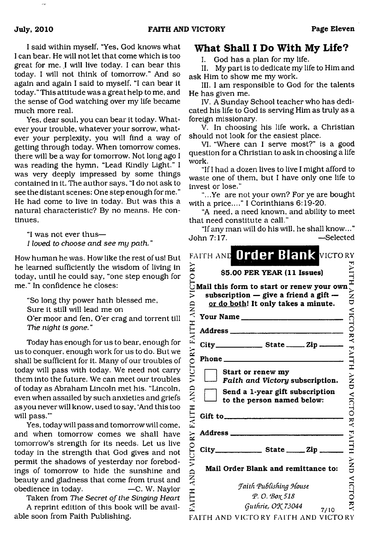I said within myself, "Yes, God knows what I can bear. He will not let that come which is too great for me. *I* will live today. I can bear this today. I will not think of tomorrow." And so again and again I said to myself. "I can bear it today. " This attitude was a great help to me, and the sense of God watching over my life became much more real.

Yes, dear soul, you can bear it today. Whatever your trouble, whatever your sorrow, whatever your perplexity, you will find a way of getting through today. When tomorrow comes, there will be a way for tomorrow. Not long ago I was reading the hymn, "Lead Kindly Light." I was very deeply impressed by some things contained in it. The author says, "I do not ask to see the distant scenes: One step enough forme." He had come to live in today. But was this a natural characteristic? By no means. He continues,

"I was not ever thus— *I loved to choose and see my path.* "

How human he was. How like the rest of us! But he learned sufficiently the wisdom of living in today, until he could say, "one step enough for me." In confidence he closes:

"So long thy power hath blessed me, Sure it still will lead me on O'er moor and fen, O'er crag and torrent till *The night is gone."*

Today has enough for us to bear, enough for us to conquer, enough work for us to do. But we shall be sufficient for it. Many of our troubles of today will pass with today. We need not carry them into the future. We can meet our troubles of today as Abraham Lincoln met his. "Lincoln, even when assailed by such anxieties and griefs as you never will know, used to say, 'And this too will pass."'

Yes, today will pass and tomorrow will come, and when tomorrow comes we shall have tomorrow's strength for its needs. Let us live today in the strength that God gives and not permit the shadows of yesterday nor forebodings of tomorrow to hide the sunshine and beauty and gladness that come from trust and obedience in today. —C. W. Naylor

Taken from *The Secret of the Singing Heart* A reprint edition of this book will be available soon from Faith Publishing.

#### <span id="page-10-0"></span>**What Shall I Do With My Life?**

I. God has a plan for my life.

II. My part is to dedicate my life to Him and ask Him to show me my work.

III. I am responsible to God for the talents He has given me.

IV. A Sunday School teacher who has dedicated his life to God is serving Him as truly as a foreign missionary.

V. In choosing his life work, a Christian should not look for the easiest place.

VI. "Where can I serve most?" is a good question for a Christian to ask in choosing a life work.

"If I had a dozen lives to live I might afford to waste one of them, but I have only one life to invest or lose."

"...Ye are not your own? For ye are bought with a price...." I Corinthians 6:19-20.

"A need, a need known, and ability to meet that need constitute a call."

"If any man will do his will, he shall know..." John 7:17. —Selected

|                     | FAITH AND Order Blank VICTORY                                                                                                                                                                                                                                                                                                                |                          |
|---------------------|----------------------------------------------------------------------------------------------------------------------------------------------------------------------------------------------------------------------------------------------------------------------------------------------------------------------------------------------|--------------------------|
|                     | \$5.00 PER YEAR (11 Issues)                                                                                                                                                                                                                                                                                                                  |                          |
| VICTORY             | Mail this form to start or renew your own<br>subscription $-$ give a friend a gift $-$<br>or do both! It only takes a minute.                                                                                                                                                                                                                | ľ<br>$\sum_{i=1}^{N}$    |
|                     |                                                                                                                                                                                                                                                                                                                                              | VICTO                    |
|                     |                                                                                                                                                                                                                                                                                                                                              |                          |
| FAITH AND           |                                                                                                                                                                                                                                                                                                                                              | $\mathbf{Y}$             |
|                     | Phone $\_\_$                                                                                                                                                                                                                                                                                                                                 |                          |
| VICTORY             | Start or renew my<br>Faith and Victory subscription.                                                                                                                                                                                                                                                                                         | <b>EAITH AND</b>         |
| QNY                 | Send a 1-year gift subscription<br>to the person named below:                                                                                                                                                                                                                                                                                | VICTO                    |
| FAITH               | Gift to $\qquad \qquad$ $\qquad \qquad$ $\qquad$ $\qquad$ $\qquad$ $\qquad$ $\qquad$ $\qquad$ $\qquad$ $\qquad$ $\qquad$ $\qquad$ $\qquad$ $\qquad$ $\qquad$ $\qquad$ $\qquad$ $\qquad$ $\qquad$ $\qquad$ $\qquad$ $\qquad$ $\qquad$ $\qquad$ $\qquad$ $\qquad$ $\qquad$ $\qquad$ $\qquad$ $\qquad$ $\qquad$ $\qquad$ $\qquad$ $\qquad$ $\q$ |                          |
| RY                  |                                                                                                                                                                                                                                                                                                                                              | $\widetilde{\mathbf{g}}$ |
|                     | $City$ State $Zip$                                                                                                                                                                                                                                                                                                                           |                          |
| VICTO<br><b>QNY</b> | Mail Order Blank and remittance to:                                                                                                                                                                                                                                                                                                          | ン<br>N<br>D              |
|                     | <b>Faith Publishing House</b>                                                                                                                                                                                                                                                                                                                | VICTC                    |
| HILY:               | Р. О. Вох 518                                                                                                                                                                                                                                                                                                                                |                          |
|                     | Guthrie, OK 73044<br>7/10                                                                                                                                                                                                                                                                                                                    |                          |
|                     | FAITH AND VICTORY FAITH AND VICTORY                                                                                                                                                                                                                                                                                                          |                          |